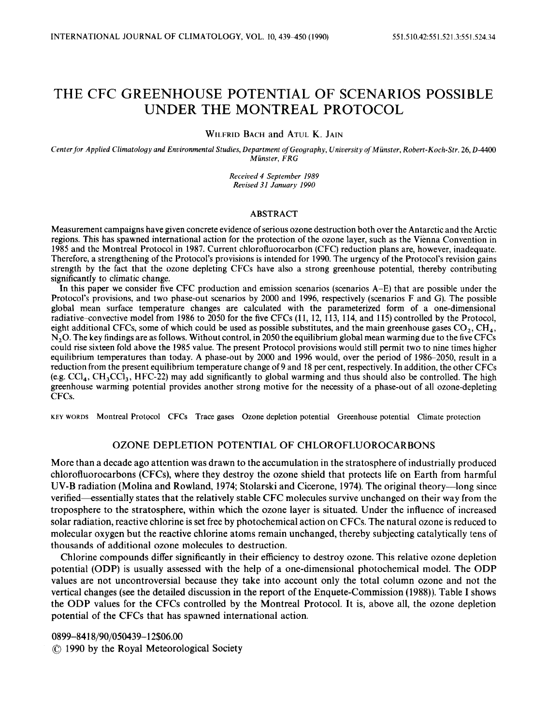# THE CFC GREENHOUSE POTENTIAL OF SCENARIOS POSSIBLE UNDER THE MONTREAL PROTOCOL

**WILFRID BACH** and **ATUL K. JAIN** 

*Centerfor Applied Climatology and Environmental Studies, Department* of *Geography, University* of *Munster, Robert-Koch-Str.* **26,0-4400**  *Munster, FRG* 

> *Received 4 September I989 Revised 31 January 1990*

#### ABSTRACT

Measurement campaigns have given concrete evidence of serious ozone destruction both over the Antarctic and the Arctic regions. This has spawned international action for the protection of the ozone layer, such as the Vienna Convention in 1985 and the Montreal Protocol in 1987. Current chlorofluorocarbon (CFC) reduction plans are, however, inadequate. Therefore, a strengthening of the Protocol's provisions is intended for 1990. The urgency of the Protocol's revision gains strength by the fact that the ozone depleting CFCs have also a strong greenhouse potential, thereby contributing significantly to climatic change.

In this paper we consider five CFC production and emission scenarios (scenarios A-E) that are possible under the Protocol's provisions, and two phase-out scenarios by 2000 and 1996, respectively (scenarios F and G). The possible global mean surface temperature changes are calculated with the parameterized form of a one-dimensional radiative-convective model from 1986 to 2050 for the five CFCs (11, 12, 113, 114, and 115) controlled by the Protocol, eight additional CFCs, some of which could be used as possible substitutes, and the main greenhouse gases  $CO<sub>2</sub>$ , CH<sub>4</sub>, **N,O.** The key findings are as follows. Without control, in 2050 the equilibrium global mean warming due to the five CFCs could rise sixteen fold above the 1985 value. The present Protocol provisions would still permit two to nine times higher equilibrium temperatures than today. A phase-out by 2000 and 1996 would, over the period of 1986-2050, result in a reduction from the present equilibrium temperature change of 9 and 18 per cent, respectively. In addition, the other CFCs  $(e.g. CCl<sub>4</sub>, CH<sub>3</sub>CCI<sub>3</sub>, HFC-22)$  may add significantly to global warming and thus should also be controlled. The high greenhouse warming potential provides another strong motive for the necessity of a phase-out of all ozone-depleting CFCs.

**KEY WORDS Montreal Protocol CFCs Trace gases Ozone depletion potential Greenhouse potential Climate protection** 

## OZONE DEPLETION POTENTIAL OF CHLOROFLUOROCARBONS

More than a decade ago attention was drawn to the accumulation in the stratosphere of industrially produced chlorofluorocarbons (CFCs), where they destroy the ozone shield that protects life on Earth from harmful UV-B radiation (Molina and Rowland, **1974;** Stolarski and Cicerone, **1974).** The original theory-long since verified—essentially states that the relatively stable CFC molecules survive unchanged on their way from the troposphere to the stratosphere, within which the ozone layer is situated. Under the influence of increased solar radiation, reactive chlorine is set free by photochemical action on CFCs. The natural ozone is reduced to molecular oxygen but the reactive chlorine atoms remain unchanged, thereby subjecting catalytically tens of thousands of additional ozone molecules to destruction.

Chlorine compounds differ significantly in their efficiency to destroy ozone. This relative ozone depletion potential (ODP) is usually assessed with the help of a one-dimensional photochemical model. The ODP values are not uncontroversial because they take into account only the total column ozone and not the vertical changes (see the detailed discussion in the report of the Enquete-Commission (1988)). Table **I** shows the **ODP** values for the CFCs controlled by the Montreal Protocol. It is, above all, the ozone depletion potential of the CFCs that has spawned international action.

**0899-84 18/90/050439-12\$06.00**  *0* **1990** by the Royal Meteorological Society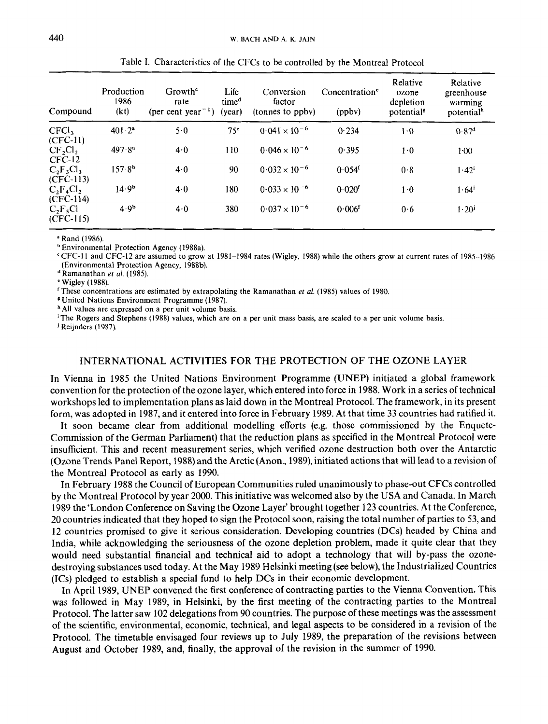| Compound                        | Production<br>1986<br>(kt) | Growth <sup>e</sup><br>rate<br>(per cent year <sup><math>-1</math></sup> ) | Life<br>time <sup>d</sup><br>(year) | Conversion<br>factor<br>(tonnes to ppby) | Concentration <sup>e</sup><br>(ppbv) | Relative<br>ozone<br>depletion<br>potential <sup>8</sup> | Relative<br>greenhouse<br>warming<br>potential <sup>h</sup> |
|---------------------------------|----------------------------|----------------------------------------------------------------------------|-------------------------------------|------------------------------------------|--------------------------------------|----------------------------------------------------------|-------------------------------------------------------------|
| CFCl <sub>3</sub><br>$(CFC-11)$ | $401 \cdot 2^a$            | 5.0                                                                        | 75 <sup>e</sup>                     | $0.041 \times 10^{-6}$                   | 0.234                                | 1.0                                                      | 0.87 <sup>d</sup>                                           |
| $CF_2Cl_2$<br>$CFC-12$          | $497.8^{a}$                | $4-0$                                                                      | 110                                 | $0.046 \times 10^{-6}$                   | 0.395                                | $1-0$                                                    | $1 - 00$                                                    |
| $C_2F_3Cl_3$<br>$(CFC-113)$     | $157.8^{b}$                | 4.0                                                                        | 90                                  | $0.032 \times 10^{-6}$                   | $0.054$ <sup>f</sup>                 | 0.8                                                      | $1.42^{i}$                                                  |
| $C_2F_4Cl_2$<br>$(CFC-114)$     | 14.9 <sup>b</sup>          | 4.0                                                                        | 180                                 | $0.033 \times 10^{-6}$                   | $0.020$ f                            | $1-0$                                                    | $1.64^i$                                                    |
| $C_2F_5Cl$<br>$(CFC-115)$       | 4.9 <sup>b</sup>           | 4.0                                                                        | 380                                 | $0.037 \times 10^{-6}$                   | $0.006^{f}$                          | 0.6                                                      | $1.20^{j}$                                                  |

Table **I.** Characteristics of the CFCs to be controlled by the Montreal Protocol

**<sup>a</sup>Rand** ( **1986).** 

**Environmental Protection Agency (1988a).** 

**'CFC-11 and CFC-12 are assumed to grow at 1981-1984 rates (Wigley, 1988) while the others grow at current rates** of **1985-1986 (Environmental Protection Agency, 1988b)..** 

**Ramanathan** *et al.* **(1985).** 

**Wigley (1988).** 

**These concentrations are estimated** by **extrapolating the Ramanathan** *et al.* **(1985) values** of **1980.** 

**United Nations Environment Programme (1987).** 

**All values are expressed on a per unit volume basis.** 

<sup>1</sup>The Rogers and Stephens (1988) values, which are on a per unit mass basis, are scaled to a per unit volume basis.

**j Reijnders** ( **1987).** 

## INTERNATIONAL ACTIVITIES FOR THE PROTECTION OF THE OZONE LAYER

In Vienna in 1985 the United Nations Environment Programme (UNEP) initiated a global framework convention for the protection of the ozone layer, which entered into force in 1988. Work in a series of technical workshops led to implementation plans as laid down in the Montreal Protocol. The framework, in its present form, was adopted in 1987, and it entered into force in February 1989. At that time 33 countries had ratified it.

It soon became clear from additional modelling efforts (e.g. those commissioned by the Enquete-Commission of the German Parliament) that the reduction plans as specified in the Montreal Protocol were insufficient. This and recent measurement series, which verified ozone destruction both over the Antarctic (Ozone Trends Panel Report, 1988) and the Arctic (Anon., 1989), initiated actions that will lead to a revision of the Montreal Protocol as early as 1990.

In February 1988 the Council of European Communities ruled unanimously to phase-out CFCs controlled by the Montreal Protocol by year 2000. This initiative was welcomed also by the USA and Canada. In March 1989 the 'London Conference on Saving the Ozone Layer' brought together 123 countries. At the Conference, 20 countries indicated that they hoped to sign the Protocol soon, raising the total number of parties to 53, and 12 countries promised to give it serious consideration. Developing countries (DCs) headed by China and India, while acknowledging the seriousness of the ozone depletion problem, made it quite clear that they would need substantial financial and technical aid to adopt a technology that will by-pass the ozonedestroying substances used today. At the May 1989 Helsinki meeting (see below), the Industrialized Countries (ICs) pledged to establish **a** special fund to help **DCs** in their economic development.

In April 1989, UNEP convened the first conference of contracting parties to the Vienna Convention. This was followed in May 1989, in Helsinki, by the first meeting of the contracting parties to the Montreal Protocol. The latter saw 102 delegations from 90 countries. The purpose of these meetings was the assessment of the scientific, environmental, economic, technical, and legal aspects to be considered in a revision of the Protocol. The timetable envisaged four reviews up to July 1989, the preparation of the revisions between August and October 1989, and, finally, the approval of the revision in the summer of 1990.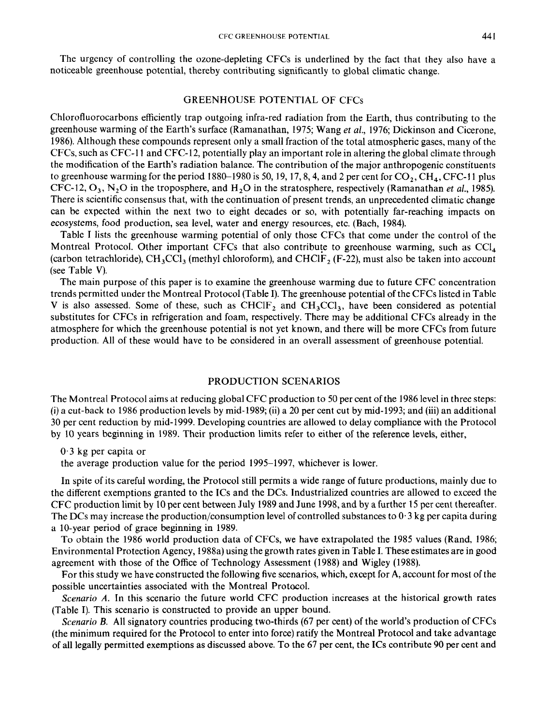The urgency of controlling the ozone-depleting CFCs is underlined by the fact that they also have a noticeable greenhouse potential, thereby contributing significantly to global climatic change.

### GREENHOUSE POTENTIAL OF CFCs

Chlorofluorocarbons efficiently trap outgoing infra-red radiation from the Earth, thus contributing to the greenhouse warming of the Earth's surface (Ramanathan, 1975; Wang *et al.,* 1976; Dickinson and Cicerone, 1986). Although these compounds represent only a small fraction of the total atmospheric gases, many of the CFCs, such as CFC-I 1 and CFC-12, potentially play an important role in altering the global climate through the modification of the Earth's radiation balance. The contribution of the major anthropogenic constituents to greenhouse warming for the period 1880–1980 is 50, 19, 17, 8, 4, and 2 per cent for  $CO_2$ , CH<sub>4</sub>, CFC-11 plus CFC-12, 0,, N,O in the troposphere, and H,O in the stratosphere, respectively (Ramanathan *et al.,* 1985). There is scientific consensus that, with the continuation of present trends, an unprecedented climatic change can be expected within the next two to eight decades or so, with potentially far-reaching impacts on ecosystems, food production, sea level, water and energy resources, etc. (Bach, 1984).

Table I lists the greenhouse warming potential of only those CFCs that come under the control of the Montreal Protocol. Other important CFCs that also contribute to greenhouse warming, such as  $\text{CC}l_{\text{A}}$ (carbon tetrachloride),  $CH_3CCl_3$  (methyl chloroform), and CHClF, (F-22), must also be taken into account (see Table **V).** 

The main purpose of this paper is to examine the greenhouse warming due to future CFC concentration trends permitted under the Montreal Protocol (Table I). The greenhouse potential of the CFCs listed in Table V is also assessed. Some of these, such as CHClF<sub>2</sub> and CH<sub>3</sub>CCl<sub>3</sub>, have been considered as potential substitutes for CFCs in refrigeration and foam, respectively. There may be additional CFCs already in the atmosphere for which the greenhouse potential is not yet known, and there will be more CFCs from future production. All of these would have to be considered in an overall assessment of greenhouse potential.

#### PRODUCTION SCENARIOS

The Montreal Protocol aims at reducing global CFC production to 50 per cent of the 1986 level in three steps: **(i)** a cut-back to 1986 production levels by mid-1989; (ii) a 20 per cent cut by mid-1993; and (iii) an additional 30 per cent reduction by mid-1999. Developing countries are allowed to delay compliance with the Protocol by 10 years beginning in 1989. Their production limits refer to either of the reference levels, either,

the average production value for the period 1995-1997, whichever is lower.

In spite of its careful wording, the Protocol still permits a wide range of future productions, mainly due to the different exemptions granted to the ICs and the DCs. Industrialized countries are allowed to exceed the CFC production limit by 10 per cent between July 1989 and June 1998, and by a further **15** per cent thereafter. The DCs may increase the production/consumption level of controlled substances to  $0.3$  kg per capita during a 10-year period of grace beginning in 1989.

To obtain the 1986 world production data of CFCs, we have extrapolated the 1985 values (Rand, 1986; Environmental Protection Agency, 1988a) using the growth rates given in Table I. These estimates are in good agreement with those of the Office of Technology Assessment (1988) and Wigley (1988).

For this study we have constructed the following five scenarios, which, except for A, account for most of the possible uncertainties associated with the Montreal Protocol.

*Scenario A.* In this scenario the future world CFC production increases at the historical growth rates (Table I). This scenario is constructed to provide an upper bound.

*Scenario B.* All signatory countries producing two-thirds (67 per cent) of the world's production of CFCs (the minimum required for the Protocol to enter into force) ratify the Montreal Protocol and take advantage of all legally permitted exemptions as discussed above. To the 67 per cent, the **ICs** contribute 90 per cent and

**<sup>0.3</sup>** kg per capita or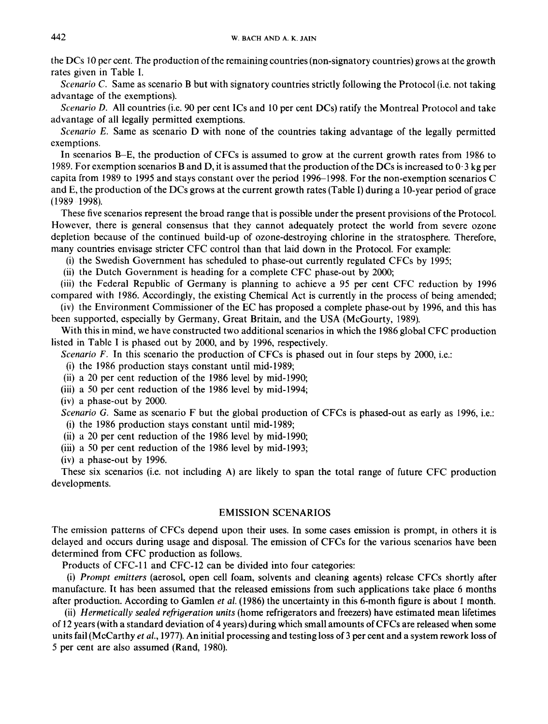the DCs **10** per cent. The production of the remaining countries (non-signatory countries) grows at the growth rates given in Table I.

*Scenario C.* Same as scenario B but with signatory countries strictly following the Protocol (i.e. not taking advantage of the exemptions).

*Scenario* D. All countries (i.e. 90 per cent 1Cs and 10 per cent DCs) ratify the Montreal Protocol and take advantage of all legally permitted exemptions.

*Scenario E.* Same as scenario D with none of the countries taking advantage of the legally permitted exemptions.

In scenarios B-E, the production of CFCs is assumed to grow at the current growth rates from 1986 to 1989. For exemption scenarios Band D, it is assumed that the production of the DCs is increased to **0.3** kg per capita from 1989 to 1995 and stays constant over the period 1996–1998. For the non-exemption scenarios C and **E,** the production of the DCs grows at the current growth rates (Table **I)** during a 10-year period of grace (1989 1998).

These five scenarios represent the broad range that is possible under the present provisions of the Protocol. However, there is general consensus that they cannot adequately protect the world from severe ozone depletion because of the continued build-up of ozone-destroying chlorine in the stratosphere. Therefore, many countries envisage stricter CFC control than that laid down in the Protocol. For example:

(i) the Swedish Government has scheduled to phase-out currently regulated CFCs by 1995;

(ii) the Dutch Government is heading for a complete CFC phase-out by 2000;

(iii) the Federal Republic of Germany is planning to achieve a 95 per cent CFC reduction by 1996 compared with 1986. Accordingly, the existing Chemical Act is currently in the process of being amended;

(iv) the Environment Commissioner of the EC has proposed a complete phase-out by 1996, and this has been supported, especially by Germany, Great Britain, and the USA (McGourty, 1989).

With this in mind, we have constructed two additional scenarios in which the 1986 global CFC production listed in Table I is phased out by 2000, and by 1996, respectively.

*Scenario F.* In this scenario the production of CFCs is phased out in four steps by 2000, i.e.:

(i) the 1986 production stays constant until mid-1989;

(ii) a **20** per cent reduction of the 1986 level by mid-1990;

(iii) a 50 per cent reduction of the 1986 level by mid-1994;

(iv) a phase-out by 2000.

*Scenario G.* Same as scenario F but the global production of CFCs is phased-out as early as 1996, i.e.: (i) the 1986 production stays constant until mid-1989;

(ii) a 20 per cent reduction of the 1986 level by mid-1990;

(iii) a 50 per cent reduction of the 1986 level by mid-1993;

(iv) a phase-out by 1996.

These six scenarios (i.e. not including A) are likely to span the total range of future CFC production developments.

## EMISSION SCENARIOS

The emission patterns of CFCs depend upon their uses. In some cases emission **is** prompt, in others it is delayed and occurs during usage and disposal. The emission of CFCs for the various scenarios have been determined from CFC production as follows.

Products of CFC-11 and CFC-12 can be divided into four categories:

(i) *Prompt emitters* (aerosol, open cell foam, solvents and cleaning agents) release CFCs shortly after manufacture. It has been assumed that the released emissions from such applications take place *6* months after production. According to Gamlen *et al.* (1986) the uncertainty in this 6-month figure is about 1 month.

(ii) *Hermetically sealed refrigeration units* (home refrigerators and freezers) have estimated mean lifetimes of 12 years (with a standard deviation of **4** years) during which small amounts of CFCs are released when some units fail (McCarthy *et al.,* 1977). An initial processing and testing loss of **3** per cent and a system rework loss of 5 per cent are also assumed (Rand, 1980).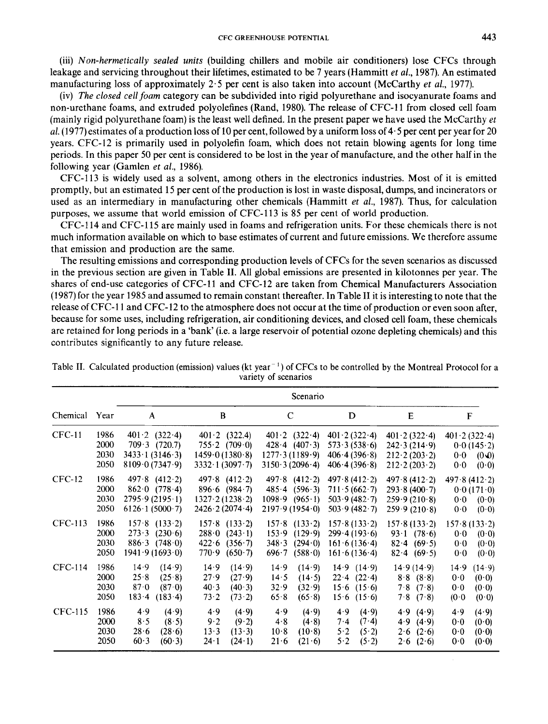(iii) *Non-hermetically sealed units* (building chillers and mobile air conditioners) lose **CFCs** through leakage and servicing throughout their lifetimes, estimated to be **7** years (Hammitt **et al., 1987).** An estimated manufacturing loss of approximately **2.5** per cent is also taken into account (McCarthy *et* **al., 1977).** 

(iv) *The closed cell foam* category can be subdivided into rigid polyurethane and isocyanurate foams and non-urethane foams, and extruded polyolefines (Rand, **1980).** The release of **CFC-11** from closed cell foam (mainly rigid polyurethane foam) is the least well defined. In the present paper we have used the McCarthy *et*  **al. (1977)** estimates of a production loss of **10** per cent, followed by a uniform loss of **4-5** per cent per year for **20**  years. **CFC-12** is primarily used in polyolefin foam, which does not retain blowing agents for long time periods. In this paper 50 per cent is considered to be lost in the year of manufacture, and the other half in the following year (Gamlen *et* **al., 1986).** 

**CFC-113** is widely used as a solvent, among others in the electronics industries. Most of it is emitted promptly, but an estimated **15** per cent of the production is lost in waste disposal, dumps, and incinerators or used as an intermediary in manufacturing other chemicals (Hammitt *et al.,* **1987).** Thus, for calculation purposes, we assume that world emission of **CFC-113** is 85 per cent of world production.

**CFC-114** and **CFC-115** are mainly used in foams and refrigeration units. For these chemicals there is not much information available on which to base estimates of current and future emissions. We therefore assume that emission and production are the same.

The resulting emissions and corresponding production levels of **CFCs** for the seven scenarios as discussed in the previous section are given in Table **11.** All global emissions are presented in kilotonnes per year. The shares of end-use categories of **CFC-11** and **CFC-12** are taken from Chemical Manufacturers Association **(1987)** for the year **1985** and assumed to remain constant thereafter. In Table **I1** it is interesting to note that the release of **CFC-** 1 **1** and **CFC-12** to the atmosphere does not occur at the time of production or even soon after, because for some uses, including refrigeration, air conditioning devices, and closed cell foam, these chemicals are retained for long periods in a 'bank' (i.e. a large reservoir of potential ozone depleting chemicals) and this contributes significantly to any future release.

|                |                              |                                                                                                                          |                                                                                                                                    |                                                                                        | Scenario                                                                   |                                                                                                        |                                                                              |  |  |
|----------------|------------------------------|--------------------------------------------------------------------------------------------------------------------------|------------------------------------------------------------------------------------------------------------------------------------|----------------------------------------------------------------------------------------|----------------------------------------------------------------------------|--------------------------------------------------------------------------------------------------------|------------------------------------------------------------------------------|--|--|
| Chemical       | Year                         | A                                                                                                                        | B                                                                                                                                  | $\mathbf C$                                                                            | D                                                                          | E                                                                                                      | F                                                                            |  |  |
| <b>CFC-11</b>  | 1986<br>2000<br>2030<br>2050 | $401 \cdot 2 \quad (322 \cdot 4)$<br>$709.3$ $(720.7)$<br>$3433 \cdot 1 (3146 \cdot 3)$<br>$8109 \cdot 0 (7347 \cdot 9)$ | $401 \cdot 2 \quad (322.4)$<br>$755 \cdot 2 \quad (709 \cdot 0)$<br>$1459 \cdot 0 (1380 \cdot 8)$<br>$3332 \cdot 1 (3097 \cdot 7)$ | $401 \cdot 2 \quad (322 \cdot 4)$<br>428.4 (407.3)<br>1277.3(1189.9)<br>3150.3(2096.4) | $401 \cdot 2(322 \cdot 4)$<br>573.3(538.6)<br>406.4(396.8)<br>406.4(396.8) | $401 \cdot 2(322 \cdot 4)$<br>242.3(214.9)<br>$212 \cdot 2(203 \cdot 2)$<br>$212 \cdot 2(203 \cdot 2)$ | $401 \cdot 2(322 \cdot 4)$<br>0.0(145.2)<br>0.0<br>$(0 - 0)$<br>0.0<br>(0.0) |  |  |
| $CFC-12$       | 1986<br>2000<br>2030<br>2050 | $497.8$ $(412.2)$<br>$862 \cdot 0$ (778.4)<br>2795.9(2195.1)<br>$6126 \cdot 1 (5000 \cdot 7)$                            | $497.8$ $(412.2)$<br>$896.6$ (984.7)<br>$1327 \cdot 2(1238 \cdot 2)$<br>$2426 \cdot 2(2074 \cdot 4)$                               | $497.8$ $(412.2)$<br>485.4(596.3)<br>1098.9 (965.1)<br>2197.9(1954.0)                  | 497.8(412.2)<br>711.5(662.7)<br>503.9(482.7)<br>503.9(482.7)               | 497.8(412.2)<br>293.8(400.7)<br>259.9(210.8)<br>259.9(210.8)                                           | 497.8(412.2)<br>0.0(171.0)<br>(0.0)<br>0.0<br>0.0<br>(0.0)                   |  |  |
| CFC-113        | 1986<br>2000<br>2030<br>2050 | $157.8$ $(133.2)$<br>$273 \cdot 3$ (230.6)<br>$886.3$ (748.0)<br>1941.9(1693.0)                                          | $157.8$ $(133.2)$<br>288.0<br>(243.1)<br>422.6<br>(356.7)<br>770.9<br>(650.7)                                                      | $157.8$ $(133.2)$<br>153.9<br>(129.9)<br>348.3<br>(294.0)<br>(588.0)<br>696.7          | 157.8(133.2)<br>299.4(193.6)<br>161.6(136.4)<br>161.6(136.4)               | 157.8(133.2)<br>$93 \cdot 1$ (78.6)<br>82.4 (69.5)<br>82.4 (69.5)                                      | 157.8(133.2)<br>0.0<br>(0.0)<br>0.0<br>(0.0)<br>0.0<br>(0.0)                 |  |  |
| CFC-114        | 1986<br>2000<br>2030<br>2050 | 14.9<br>$(14-9)$<br>25.8<br>(25.8)<br>87.0<br>(87.0)<br>183.4<br>(183.4)                                                 | $14 - 9$<br>(14.9)<br>27.9<br>(27.9)<br>40.3<br>(40.3)<br>73.2<br>(73.2)                                                           | 14.9<br>(14.9)<br>14.5<br>(14.5)<br>32.9<br>(32.9)<br>(65.8)<br>65.8                   | 14.9(14.9)<br>$22.4$ $(22.4)$<br>$15.6$ $(15.6)$<br>15.6<br>(15.6)         | 14.9(14.9)<br>8.8(8.8)<br>$7.8$ $(7.8)$<br>$7.8$ $(7.8)$                                               | (14.9)<br>14.9<br>0.0<br>(0.0)<br>0.0<br>(0.0)<br>(0.0)<br>(0.0)             |  |  |
| <b>CFC-115</b> | 1986<br>2000<br>2030<br>2050 | 4.9<br>(4.9)<br>8.5<br>(8.5)<br>28.6<br>(28.6)<br>60.3<br>(60.3)                                                         | 4.9<br>(4.9)<br>9.2<br>(9.2)<br>13.3<br>(13.3)<br>$24 - 1$<br>(24.1)                                                               | 4.9<br>(4.9)<br>4.8<br>(4.8)<br>10.8<br>(10.8)<br>21.6<br>(21.6)                       | 4.9<br>(4.9)<br>7.4<br>(7.4)<br>(5.2)<br>5.2<br>5.2<br>(5.2)               | 4.9(4.9)<br>4.9(4.9)<br>$2.6$ $(2.6)$<br>$2.6$ $(2.6)$                                                 | 4.9<br>(4.9)<br>0 <sub>0</sub><br>(0.0)<br>0.0<br>(0.0)<br>0.0<br>(0.0)      |  |  |

Table **11.** Calculated production (emission) values **(kt** year- ') of CFCs to be controlled by the Montreal Protocol for a variety of scenarios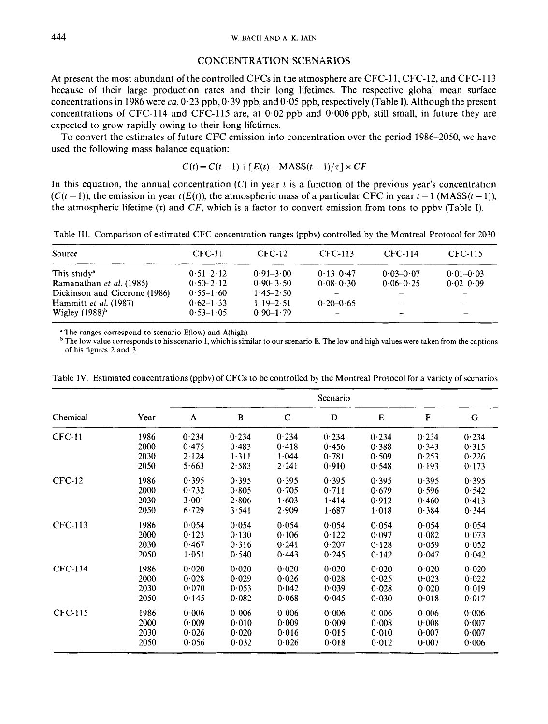#### CONCENTRATION SCENARIOS

At present the most abundant of the controlled CFCs in the atmosphere are CFC-11, CFC-12, and CFC-113 because of their large production rates and their long lifetimes. The respective global mean surface concentrations in 1986 were ca.  $0.23$  ppb,  $0.39$  ppb, and  $0.05$  ppb, respectively (Table I). Although the present concentrations of CFC-114 and CFC-115 are, at  $0.02$  ppb and  $0.006$  ppb, still small, in future they are expected to grow rapidly owing to their long lifetimes.

To convert the estimates of future CFC emission into concentration over the period 1986-2050, we have used the following mass balance equation:

$$
C(t) = C(t-1) + [E(t) - \text{MASS}(t-1)/\tau] \times CF
$$

In this equation, the annual concentration  $(C)$  in year  $t$  is a function of the previous year's concentration  $(C(t-1))$ , the emission in year  $t(E(t))$ , the atmospheric mass of a particular CFC in year  $t-1$  (MASS $(t-1)$ ), the atmospheric lifetime  $(\tau)$  and *CF*, which is a factor to convert emission from tons to ppbv (Table I).

|  |  |  | Table III. Comparison of estimated CFC concentration ranges (ppbv) controlled by the Montreal Protocol for 2030 |  |
|--|--|--|-----------------------------------------------------------------------------------------------------------------|--|
|  |  |  |                                                                                                                 |  |

| Source                        | $CFC-11$      | CFC-12        | CFC-113       | CFC-114       | CFC-115        |
|-------------------------------|---------------|---------------|---------------|---------------|----------------|
| This study <sup>a</sup>       | $0.51 - 2.12$ | $0.91 - 3.00$ | $0.13 - 0.47$ | $0.03 - 0.07$ | $0.01 - 0.03$  |
| Ramanathan et al. (1985)      | $0.50 - 2.12$ | $0.90 - 3.50$ | $0.08 - 0.30$ | $0.06 - 0.25$ | $0.02 - 0.09$  |
| Dickinson and Cicerone (1986) | $0.55 - 1.60$ | $1.45 - 2.50$ |               |               |                |
| Hammitt et al. (1987)         | $0.62 - 1.33$ | $1.19 - 2.51$ | $0.20 - 0.65$ |               | <b>Service</b> |
| Wigley $(1988)^b$             | $0.53 - 1.05$ | $0.90 - 1.79$ |               |               |                |

**<sup>a</sup>**The ranges correspond to scenario E(1ow) and A(high).

bThe low value corresponds to his scenario 1, which is similar to our scenario **E.** The low and high values **were** taken from the captions of his figures 2 and **3.** 

|                |      |       |       |             | Scenario |       |       |       |
|----------------|------|-------|-------|-------------|----------|-------|-------|-------|
| Chemical       | Year | A     | B     | $\mathbf C$ | D        | E     | F     | G     |
| <b>CFC-11</b>  | 1986 | 0.234 | 0.234 | 0.234       | 0.234    | 0.234 | 0.234 | 0.234 |
|                | 2000 | 0.475 | 0.483 | 0.418       | 0.456    | 0.388 | 0.343 | 0.315 |
|                | 2030 | 2.124 | 1.311 | 1.044       | 0.781    | 0.509 | 0.253 | 0.226 |
|                | 2050 | 5.663 | 2.583 | 2.241       | 0.910    | 0.548 | 0.193 | 0.173 |
| $CFC-12$       | 1986 | 0.395 | 0.395 | 0.395       | 0.395    | 0.395 | 0.395 | 0.395 |
|                | 2000 | 0.732 | 0.805 | 0.705       | 0.711    | 0.679 | 0.596 | 0.542 |
|                | 2030 | 3.001 | 2.806 | 1.603       | 1.414    | 0.912 | 0.460 | 0.413 |
|                | 2050 | 6.729 | 3.541 | 2.909       | 1.687    | 1.018 | 0.384 | 0.344 |
| <b>CFC-113</b> | 1986 | 0.054 | 0.054 | 0.054       | 0.054    | 0.054 | 0.054 | 0.054 |
|                | 2000 | 0.123 | 0.130 | 0.106       | 0.122    | 0.097 | 0.082 | 0.073 |
|                | 2030 | 0.467 | 0.316 | 0.241       | 0.207    | 0.128 | 0.059 | 0.052 |
|                | 2050 | 1.051 | 0.540 | 0.443       | 0.245    | 0.142 | 0.047 | 0.042 |
| <b>CFC-114</b> | 1986 | 0.020 | 0.020 | 0.020       | 0.020    | 0.020 | 0.020 | 0.020 |
|                | 2000 | 0.028 | 0.029 | 0.026       | 0.028    | 0.025 | 0.023 | 0.022 |
|                | 2030 | 0.070 | 0.053 | 0.042       | 0.039    | 0.028 | 0.020 | 0.019 |
|                | 2050 | 0.145 | 0.082 | 0.068       | 0.045    | 0.030 | 0.018 | 0.017 |
| <b>CFC-115</b> | 1986 | 0.006 | 0.006 | 0.006       | 0.006    | 0.006 | 0.006 | 0.006 |
|                | 2000 | 0.009 | 0.010 | 0.009       | 0.009    | 0.008 | 0.008 | 0.007 |
|                | 2030 | 0.026 | 0.020 | 0.016       | 0.015    | 0.010 | 0.007 | 0.007 |
|                | 2050 | 0.056 | 0.032 | 0.026       | 0.018    | 0.012 | 0.007 | 0.006 |

Table **IV.** Estimated concentrations (ppbv) of **CFCs** to be controlled by the Montreal Protocol for a variety of scenarios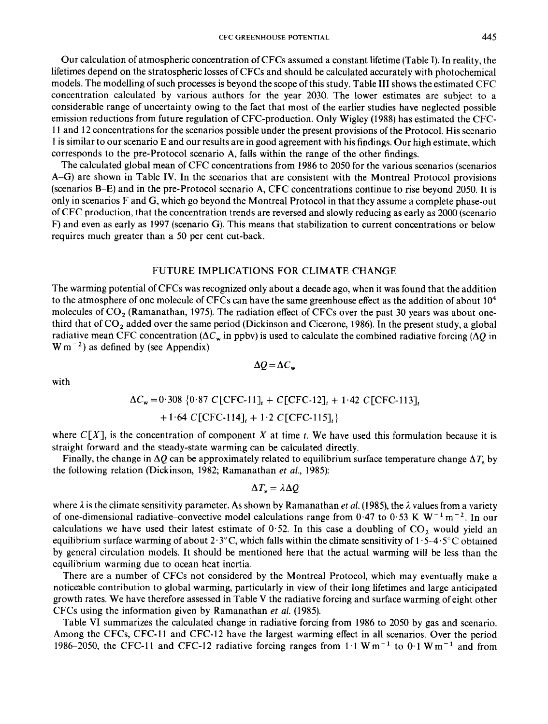Our calculation of atmospheric concentration of CFCs assumed a constant lifetime (Table I). In reality, the lifetimes depend on the stratospheric losses of CFCs and should be calculated accurately with photochemical models. The modelling of such processes is beyond the scope of this study. Table I11 shows the estimated CFC concentration calculated by various authors for the year 2030. The lower estimates are subject to a considerable range of uncertainty owing to the fact that most of the earlier studies have neglected possible emission reductions from future regulation of CFC-production. Only Wigley (1988) has estimated the CFC-11 and 12 concentrations for the scenarios possible under the present provisions of the Protocol. His scenario **<sup>1</sup>**is similar to our scenario E and our results are in good agreement with his findings. Our high estimate, which corresponds to the pre-Protocol scenario A, falls within the range of the other findings.

The calculated global mean of CFC concentrations from 1986 to 2050 for the various scenarios (scenarios A-G) are shown in Table IV. In the scenarios that are consistent with the Montreal Protocol provisions (scenarios **B-E)** and in the pre-Protocol scenario A, CFC concentrations continue to rise beyond 2050. It is only in scenarios F and **G,** which go beyond the Montreal Protocol in that they assume a complete phase-out of CFC production, that the concentration trends are reversed and slowly reducing as early as 2000 (scenario F) and even as early as 1997 (scenario G). This means that stabilization to current concentrations or below requires much greater than a *50* per cent cut-back.

## FUTURE IMPLICATIONS FOR CLIMATE CHANGE

The warming potential of CFCs was recognized only about a decade ago, when it was found that the addition to the atmosphere of one molecule of CFCs can have the same greenhouse effect as the addition of about **lo4**  molecules of CO, (Ramanathan, 1975). The radiation effect of CFCs over the past **30** years was about onethird that of  $CO<sub>2</sub>$  added over the same period (Dickinson and Cicerone, 1986). In the present study, a global radiative mean CFC concentration  $(\Delta C_w$  in ppbv) is used to calculate the combined radiative forcing  $(\Delta Q)$  in  $W m^{-2}$ ) as defined by (see Appendix)

with

$$
\Delta C_{\mathbf{w}} = 0.308 \{0.87 \text{ C}[\text{CFC-11}]_{t} + C[\text{CFC-12}]_{t} + 1.42 \text{ C}[\text{CFC-113}]_{t}
$$

$$
+1.64
$$
 C[CFC-114]<sub>t</sub> + 1.2 C[CFC-115]<sub>t</sub>

where  $C[X]$ , is the concentration of component *X* at time *t*. We have used this formulation because it is straight forward and the steady-state warming can be calculated directly.

Finally, the change in  $\Delta Q$  can be approximately related to equilibrium surface temperature change  $\Delta T_s$  by the following relation (Dickinson, 1982; Ramanathan *et al.,* **1985):** 

$$
\Delta T_{\rm s} = \lambda \Delta Q
$$

where  $\lambda$  is the climate sensitivity parameter. As shown by Ramanathan *et al.* (1985), the  $\lambda$  values from a variety of one-dimensional radiative-convective model calculations range from  $0.47$  to  $0.53$  K W<sup>-1</sup> m<sup>-2</sup>. In our calculations we have used their latest estimate of 0.52. In this case a doubling of  $CO<sub>2</sub>$  would yield an equilibrium surface warming of about  $2.3^{\circ}$ C, which falls within the climate sensitivity of  $1.5-4.5^{\circ}$ C obtained by general circulation models. It should be mentioned here that the actual warming will be less than the equilibrium warming due to ocean heat inertia.

There are a number of CFCs not considered by the Montreal Protocol, which may eventually make a noticeable contribution to global warming, particularly in view of their long lifetimes and large anticipated growth rates. We have therefore assessed in Table V the radiative forcing and surface warming of eight other CFCs using the information given by Ramanathan *et al.* (1985).

Table VI summarizes the calculated change in radiative forcing from 1986 to 2050 by gas and scenario. Among the CFCs, CFC-11 and CFC-12 have the largest warming effect in all scenarios. Over the period 1986–2050, the CFC-11 and CFC-12 radiative forcing ranges from  $1 \cdot 1 \text{ W m}^{-1}$  to  $0 \cdot 1 \text{ W m}^{-1}$  and from

$$
\Delta Q = \Delta C_{\rm w}
$$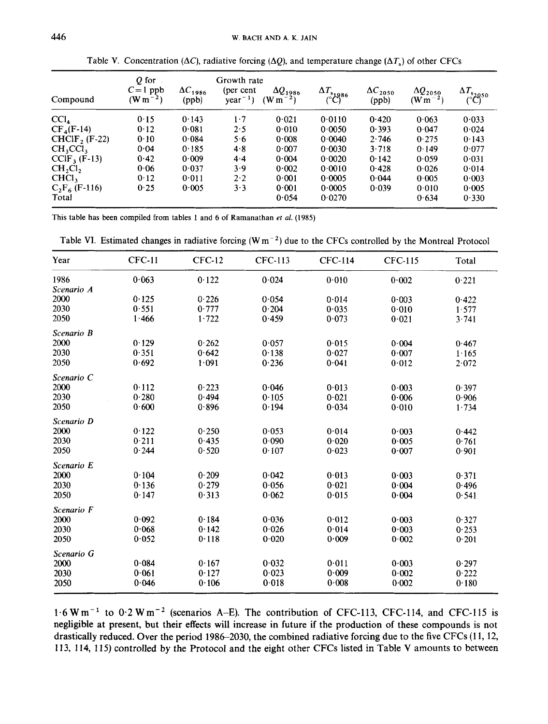| Compound         | Q for<br>$C = 1$ ppb<br>(W m <sup>-2</sup> ) | $\Delta C_{1986}$<br>(ppb) | Growth rate<br>(per cent<br>$year^{-1}$ | $\Delta Q_{1986}$<br>$(W m^{-2})$ | $\Delta T_{s}$ $\Theta$ <sup>86</sup> | $\Delta C_{2050}$<br>(ppb) | $\Delta Q_{2050}$<br>$(W m^{-2})$ | $\Delta T_{\substack{s\to 0}}$ |
|------------------|----------------------------------------------|----------------------------|-----------------------------------------|-----------------------------------|---------------------------------------|----------------------------|-----------------------------------|--------------------------------|
| CCl <sub>4</sub> | 0.15                                         | 0.143                      | $1 \cdot 7$                             | 0.021                             | 0.0110                                | 0.420                      | 0.063                             | 0.033                          |
| $CF_4(F-14)$     | 0.12                                         | 0.081                      | 2.5                                     | 0.010                             | 0.0050                                | 0.393                      | 0.047                             | 0.024                          |
| $CHCIF2$ (F-22)  | 0.10                                         | 0.084                      | 5.6                                     | 0.008                             | 0.0040                                | 2.746                      | 0.275                             | 0.143                          |
| $CH_3CCl_3$      | 0.04                                         | 0.185                      | 4.8                                     | 0.007                             | 0.0030                                | 3.718                      | 0.149                             | 0.077                          |
| $CCIF_3$ (F-13)  | 0.42                                         | 0.009                      | 4.4                                     | 0.004                             | 0.0020                                | 0.142                      | 0.059                             | 0.031                          |
| $CH_2Cl_2$       | 0.06                                         | 0.037                      | 3.9                                     | 0.002                             | 0.0010                                | 0.428                      | 0.026                             | 0.014                          |
| CHC <sub>1</sub> | 0.12                                         | 0.011                      | $2 \cdot 2$                             | 0.001                             | 0.0005                                | 0.044                      | 0.005                             | 0.003                          |
| $C_2F_6$ (F-116) | 0.25                                         | 0.005                      | 3.3                                     | 0.001                             | 0.0005                                | 0.039                      | 0.010                             | 0.005                          |
| Total            |                                              |                            |                                         | 0.054                             | 0.0270                                |                            | 0.634                             | 0.330                          |

Table V. Concentration  $(\Delta C)$ , radiative forcing  $(\Delta Q)$ , and temperature change  $(\Delta T_s)$  of other CFCs

This table has been compiled **from** tables **1** and *6* **of** Ramanathan *et al.* (1985)

|  |  |  | Table VI. Estimated changes in radiative forcing $(Wm^{-2})$ due to the CFCs controlled by the Montreal Protocol |  |
|--|--|--|------------------------------------------------------------------------------------------------------------------|--|
|--|--|--|------------------------------------------------------------------------------------------------------------------|--|

| Year       | <b>CFC-11</b> | $CFC-12$ | <b>CFC-113</b> | <b>CFC-114</b> | <b>CFC-115</b> | Total |
|------------|---------------|----------|----------------|----------------|----------------|-------|
| 1986       | 0.063         | 0.122    | 0.024          | 0.010          | 0.002          | 0.221 |
| Scenario A |               |          |                |                |                |       |
| 2000       | 0.125         | 0.226    | 0.054          | 0.014          | 0.003          | 0.422 |
| 2030       | 0.551         | 0.777    | 0.204          | 0.035          | 0.010          | 1.577 |
| 2050       | 1.466         | 1.722    | 0.459          | 0.073          | 0.021          | 3.741 |
| Scenario B |               |          |                |                |                |       |
| 2000       | 0.129         | 0.262    | 0.057          | 0.015          | 0.004          | 0.467 |
| 2030       | 0.351         | 0.642    | 0.138          | 0.027          | 0.007          | 1.165 |
| 2050       | 0.692         | 1.091    | 0.236          | 0.041          | 0.012          | 2.072 |
| Scenario C |               |          |                |                |                |       |
| 2000       | 0.112         | 0.223    | 0.046          | 0.013          | 0.003          | 0.397 |
| 2030       | 0.280         | 0.494    | 0.105          | 0.021          | 0.006          | 0.906 |
| 2050       | 0.600         | 0.896    | 0.194          | 0.034          | 0.010          | 1.734 |
| Scenario D |               |          |                |                |                |       |
| 2000       | 0.122         | 0.250    | 0.053          | 0.014          | 0.003          | 0.442 |
| 2030       | 0.211         | 0.435    | 0.090          | 0.020          | 0.005          | 0.761 |
| 2050       | 0.244         | 0.520    | 0.107          | 0.023          | 0.007          | 0.901 |
| Scenario E |               |          |                |                |                |       |
| 2000       | 0.104         | 0.209    | 0.042          | 0.013          | 0.003          | 0.371 |
| 2030       | 0.136         | 0.279    | 0.056          | 0.021          | 0.004          | 0.496 |
| 2050       | 0.147         | 0.313    | 0.062          | 0.015          | 0.004          | 0.541 |
| Scenario F |               |          |                |                |                |       |
| 2000       | 0.092         | 0.184    | 0.036          | 0.012          | 0.003          | 0.327 |
| 2030       | 0.068         | 0.142    | 0.026          | 0.014          | 0.003          | 0.253 |
| 2050       | 0.052         | 0.118    | 0.020          | 0.009          | 0.002          | 0.201 |
| Scenario G |               |          |                |                |                |       |
| 2000       | 0.084         | 0.167    | 0.032          | 0.011          | 0.003          | 0.297 |
| 2030       | 0.061         | 0.127    | 0.023          | 0.009          | 0.002          | 0.222 |
| 2050       | 0.046         | 0.106    | 0.018          | 0.008          | 0.002          | 0.180 |

**1.6 Wm-' to 0.2 Wm-2 (scenarios A-E). The contribution** of **CFC-113, CFC-114, and CFC-115 is negligible at present, but their effects will increase in future if the production of these compounds is not**  drastically reduced. Over the period 1986–2030, the combined radiative forcing due to the five CFCs (11, 12, **1 13, 114, 115) controlled by the Protocol and the eight other CFCs listed in Table V amounts to between**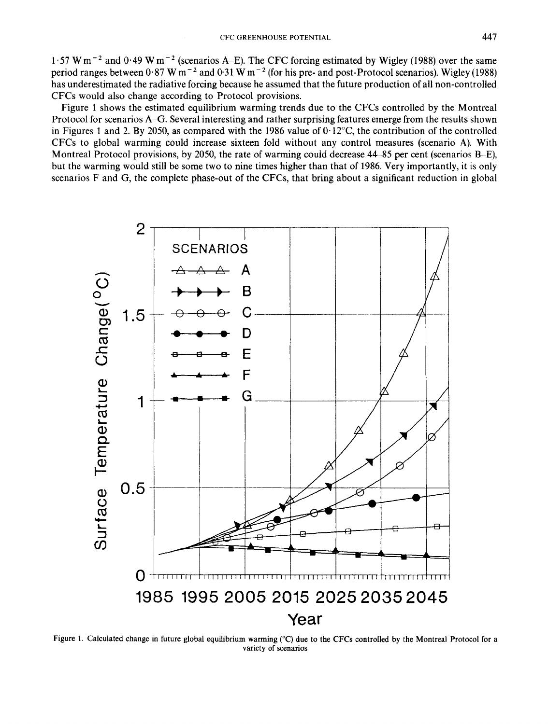1.57 W  $m^{-2}$  and 0.49 W  $m^{-2}$  (scenarios A–E). The CFC forcing estimated by Wigley (1988) over the same period ranges between  $0.87 \text{ W m}^{-2}$  and  $0.31 \text{ W m}^{-2}$  (for his pre- and post-Protocol scenarios). Wigley (1988) has underestimated the radiative forcing because he assumed that the future production of all non-controlled **CFCs** would also change according to Protocol provisions.

Figure **1** shows the estimated equilibrium warming trends due to the **CFCs** controlled by the Montreal Protocol for scenarios **A-G.** Several interesting and rather surprising features emerge from the results shown in Figures 1 and *2.* By *2050,* as compared with the 1986 value of **0.12"C,** the contribution of the controlled **CFCs** to global warming could increase sixteen fold without any control measures (scenario **A).** With Montreal Protocol provisions, by 2050, the rate of warming could decrease **44-85** per cent (scenarios B-E), but the warming would still be some two to nine times higher than that of **1986.** Very importantly, it **is** only scenarios F and **G,** the complete phase-out of the **CFCs,** that bring about a significant reduction in global



**Figure 1. Calculated change in future global equilibrium warming ("C) due** to **the CFCs controlled** by **the Montreal Protocol for a variety** of **scenarios**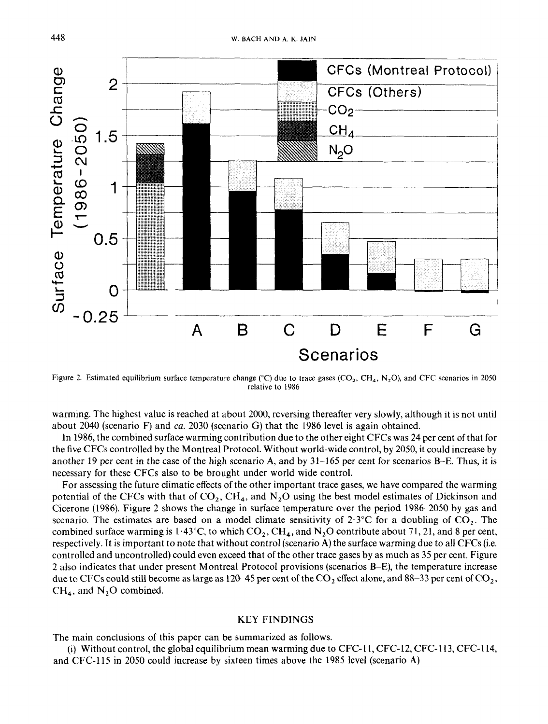

**Figure** 2. **Estimated equilibrium surface tempcrature change ("C) due to trace gases (CO,, CH,,** N,O), **and CFC scenarios in** *2050*  **relative** *to* **1986** 

warming. The highest value is reached at about 2000, reversing thereafter very slowly, although it is not until about 2040 (scenario F) and *ca.* 2030 (scenario G) that the 1986 level is again obtained.

In 1986, the combined surface warming contribution due to the other eight CFCs was 24 per cent of that for the five CFCs controlled by the Montreal Protocol. Without world-wide control, by 2050, it could increase by another 19 per cent in the case of the high scenario **A,** and by 31-165 per cent for scenarios B-E. Thus, it **is**  necessary for these CFCs also to be brought under world wide control.

For assessing the future climatic effects of the other important trace gases, we have compared the warming potential of the CFCs with that of  $CO_2$ , CH<sub>4</sub>, and N<sub>2</sub>O using the best model estimates of Dickinson and Cicerone (1986). Figure 2 shows the change in surface temperature over the period 1986-2050 by gas and scenario. The estimates are based on a model climate sensitivity of  $2.3^{\circ}$ C for a doubling of CO<sub>2</sub>. The combined surface warming is  $1.43^{\circ}$ C, to which CO<sub>2</sub>, CH<sub>4</sub>, and N<sub>2</sub>O contribute about 71, 21, and 8 per cent, respectively. **It** is important to note that without control (scenario **A)** the surface warming due to all CFCs (i.e. controlled and uncontrolled) could even exceed that of the other trace gases by as much as 35 per cent. Figure 2 also indicates that under present Montreal Protocol provisions (scenarios **B-E),** the temperature increase due to CFCs could still become as large as 120-45 per cent of the CO, effect alone, and 88-33 per cent of **C02,**   $CH<sub>4</sub>$ , and  $N<sub>2</sub>O$  combined.

#### KEY FINDINGS

The main conclusions of this paper can be summarized as follows.

and CFC-115 in 2050 could increase by sixteen times above the 1985 level (scenario **A)**  (i) Without control, the global equilibrium mean warming due to CFC-11, CFC-12, CFC-113, CFC-114,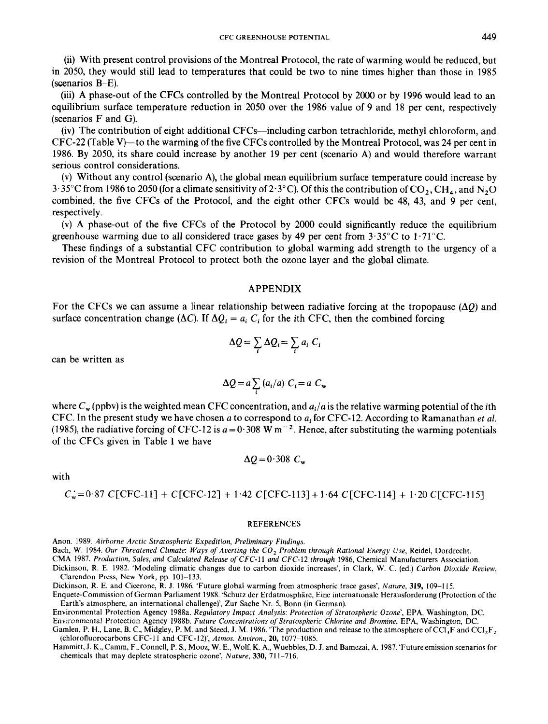(ii) With present control provisions of the Montreal Protocol, the rate of warming would be reduced, but in 2050, they would still lead to temperatures that could be two to nine times higher than those in 1985 (scenarios **B-E).** 

(iii) **A** phase-out of the CFCs controlled by the Montreal Protocol by 2000 or by 1996 would lead to an equilibrium surface temperature reduction in 2050 over the 1986 value of 9 and 18 per cent, respectively (scenarios F and G).

(iv) The contribution of eight additional CFCs-including carbon tetrachloride, methyl chloroform, and  $CFC-22$  (Table V)—to the warming of the five CFCs controlled by the Montreal Protocol, was 24 per cent in 1986. By 2050, its share could increase by another 19 per cent (scenario A) and would therefore warrant serious control considerations.

(v) Without any control (scenario **A),** the global mean equilibrium surface temperature could increase by  $3.35^{\circ}$ C from 1986 to 2050 (for a climate sensitivity of  $2.3^{\circ}$ C). Of this the contribution of CO<sub>2</sub>, CH<sub>4</sub>, and N<sub>2</sub>O combined, the five CFCs of the Protocol, and the eight other CFCs would be 48, 43, and 9 per cent, respectively.

(v) **A** phase-out of the five CFCs of the Protocol by 2000 could significantly reduce the equilibrium greenhouse warming due to **all** considered trace gases by **49** per cent from 3.35"C to 1-71"C.

These findings of a substantial CFC contribution to global warming add strength to the urgency of a revision of the Montreal Protocol to protect both the ozone layer and the global climate.

#### APPENDIX

For the CFCs we can assume a linear relationship between radiative forcing at the tropopause  $(\Delta O)$  and surface concentration change ( $\Delta C$ ). If  $\Delta Q_i = a_i C_i$  for the *i*th CFC, then the combined forcing

$$
\Delta Q = \sum_i \Delta Q_i = \sum_i a_i C_i
$$

can be written as

$$
\Delta Q = a \sum_{i} (a_i/a) C_i = a C_{\mathbf{w}}
$$

where  $C_w$  (ppbv) is the weighted mean CFC concentration, and  $a_i/a$  is the relative warming potential of the *i*th CFC. In the present study we have chosen *a* to correspond to **ai** for CFC-12. According to Ramanathan *et al.*  (1985), the radiative forcing of CFC-12 is  $a = 0.308$  W m<sup>-2</sup>. Hence, after substituting the warming potentials of the CFCs given in Table I we have

 $\Delta Q = 0.308$  C<sub>w</sub>

## with

$$
C_w = 0.87 \, \text{C} \, \text{C} \, \text{C} \, \text{C} \, \text{C} \, \text{C} \, \text{C} \, \text{C} \, \text{C} \, \text{C} \, \text{C} \, \text{C} \, \text{C} \, \text{C} \, \text{C} \, \text{C} \, \text{C} \, \text{C} \, \text{C} \, \text{C} \, \text{C} \, \text{C} \, \text{C} \, \text{C} \, \text{C} \, \text{C} \, \text{C} \, \text{C} \, \text{C} \, \text{C} \, \text{C} \, \text{C} \, \text{C} \, \text{C} \, \text{C} \, \text{C} \, \text{C} \, \text{C} \, \text{C} \, \text{C} \, \text{C} \, \text{C} \, \text{C} \, \text{C} \, \text{C} \, \text{C} \, \text{C} \, \text{C} \, \text{C} \, \text{C} \, \text{C} \, \text{C} \, \text{C} \, \text{C} \, \text{C} \, \text{C} \, \text{C} \, \text{C} \, \text{C} \, \text{C} \, \text{C} \, \text{C} \, \text{C} \, \text{C} \, \text{C} \, \text{C} \, \text{C} \, \text{C} \, \text{C} \, \text{C} \, \text{C} \, \text{C} \, \text{C} \, \text{C} \, \text{C} \, \text{C} \, \text{C} \, \text{C} \, \text{C} \, \text{C} \, \text{C} \, \text{C} \, \text{C} \, \text{C} \, \text{C} \, \text{C} \, \text{C} \, \text{C} \, \text{C} \, \text{C} \, \text{C} \, \text{C} \, \text{C} \, \text{C} \, \text{C} \, \text{C} \, \text{C} \, \text{C} \, \text{C} \, \text{C} \, \text{C} \, \text{C} \, \text{C} \, \text{C} \, \text{C} \, \text{C} \, \text{C} \,
$$

#### REFERENCES

Anon. 1989. *Airborne Arctic Stratospheric Expedition, Preliminary Findings.* 

Bach, W. 1984. *Our Threatened Climate: Ways of Averting the* CO, *Problem through Rational Energy Use,* Reidel, Dordrecht.

CMA 1987. *Production, Sales, and Calculated Release of CFC-11 and* CFC-12 *through* 1986, Chemical Manufacturers Association.

Dickinson, R. E. 1982. 'Modeling climatic changes due to carbon dioxide increases', in Clark, W. C. (ed.) *Carbon Dioxide Review,*  Clarendon Press, **New** York, pp. 101-133.

Dickinson, R. E. and Cicerone, **R. J.** 1986. 'Future global warming from atmospheric trace gases', *Nature,* **319,** 109-1 15.

Enquete-Commission of German Parliament 1988. 'Schutz der Erdatmosphire, Eine internationale Herausforderung (Protection of the Earth's atmosphere, an international challenge)', Zur Sache Nr. **5,** Bonn (in German).

Environmental Protection Agency 1988a. *Regulatory Impact Analysis: Protection of Stratospheric Ozone'*, EPA, Washington, DC.

Environmental Protection Agency 1988b. *Future Concentrations* of *Straictspheric Chlorine and Bromine,* EPA, Washington, **DC.** 

Gamlen, P. H., Lane, B. C., Midgley, P. M. and Steed, J. M. 1986. 'The production and release to the atmosphere of CC1<sub>3</sub>F and CC1<sub>3</sub>F, (chlorofluorocarbons **CFC-11** and CFC-l2)', *Atmos. Environ., 20,* 1077-1085.

Hammitt, J. K., Camm, F., Connell, **P. S., Mooz, W.** E., Wolf, K. A,, Wuebbles, **D.** J. and Bamezai, **A.** 1987. 'Future emission scenarios for chemicals that may deplete stratospheric ozone', *Nature, 330,* 71 1-716.